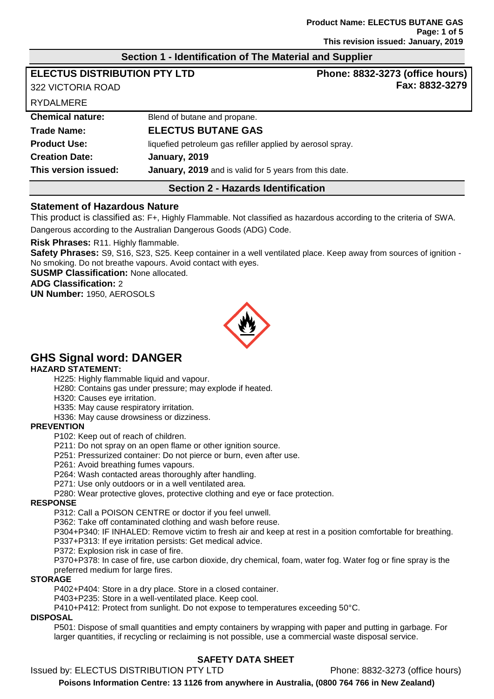## **Section 1 - Identification of The Material and Supplier**

| <b>ELECTUS DISTRIBUTION PTY LTD</b>       |                                                            | Phone: 8832-3273 (office hours) |  |
|-------------------------------------------|------------------------------------------------------------|---------------------------------|--|
| 322 VICTORIA ROAD                         |                                                            | Fax: 8832-3279                  |  |
| <b>RYDALMERE</b>                          |                                                            |                                 |  |
| <b>Chemical nature:</b>                   | Blend of butane and propane.                               |                                 |  |
| <b>Trade Name:</b>                        | <b>ELECTUS BUTANE GAS</b>                                  |                                 |  |
| <b>Product Use:</b>                       | liquefied petroleum gas refiller applied by aerosol spray. |                                 |  |
| <b>Creation Date:</b>                     | January, 2019                                              |                                 |  |
| This version issued:                      | January, 2019 and is valid for 5 years from this date.     |                                 |  |
| <b>Section 2 - Hazards Identification</b> |                                                            |                                 |  |

## **Statement of Hazardous Nature**

This product is classified as: F+, Highly Flammable. Not classified as hazardous according to the criteria of SWA. Dangerous according to the Australian Dangerous Goods (ADG) Code.

**Risk Phrases:** R11. Highly flammable.

**Safety Phrases:** S9, S16, S23, S25. Keep container in a well ventilated place. Keep away from sources of ignition - No smoking. Do not breathe vapours. Avoid contact with eyes.

**SUSMP Classification:** None allocated.

**ADG Classification:** 2

**UN Number:** 1950, AEROSOLS



# **GHS Signal word: DANGER**

#### **HAZARD STATEMENT:**

H225: Highly flammable liquid and vapour.

H280: Contains gas under pressure; may explode if heated.

H320: Causes eye irritation.

H335: May cause respiratory irritation.

H336: May cause drowsiness or dizziness.

#### **PREVENTION**

P102: Keep out of reach of children.

P211: Do not spray on an open flame or other ignition source.

P251: Pressurized container: Do not pierce or burn, even after use.

P261: Avoid breathing fumes vapours.

P264: Wash contacted areas thoroughly after handling.

P271: Use only outdoors or in a well ventilated area.

P280: Wear protective gloves, protective clothing and eye or face protection.

#### **RESPONSE**

P312: Call a POISON CENTRE or doctor if you feel unwell.

P362: Take off contaminated clothing and wash before reuse.

P304+P340: IF INHALED: Remove victim to fresh air and keep at rest in a position comfortable for breathing. P337+P313: If eye irritation persists: Get medical advice.

P372: Explosion risk in case of fire.

P370+P378: In case of fire, use carbon dioxide, dry chemical, foam, water fog. Water fog or fine spray is the preferred medium for large fires.

## **STORAGE**

P402+P404: Store in a dry place. Store in a closed container.

P403+P235: Store in a well-ventilated place. Keep cool.

P410+P412: Protect from sunlight. Do not expose to temperatures exceeding 50°C.

#### **DISPOSAL**

P501: Dispose of small quantities and empty containers by wrapping with paper and putting in garbage. For larger quantities, if recycling or reclaiming is not possible, use a commercial waste disposal service.

## **SAFETY DATA SHEET**

Issued by: ELECTUS DISTRIBUTION PTY LTD Phone: 8832-3273 (office hours)

**Poisons Information Centre: 13 1126 from anywhere in Australia, (0800 764 766 in New Zealand)**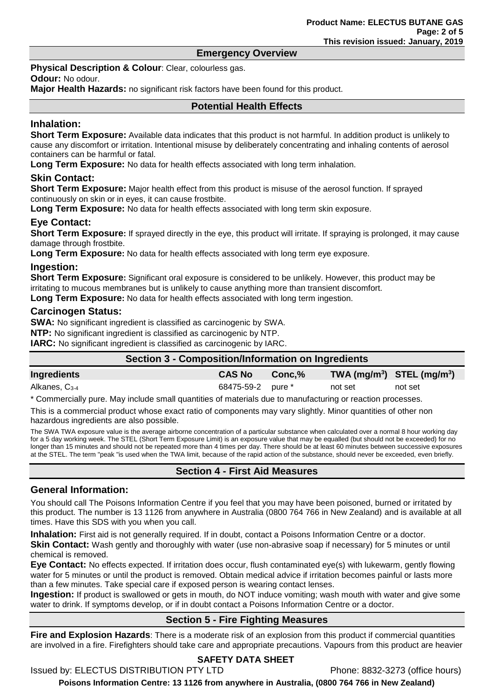## **Emergency Overview**

**Physical Description & Colour: Clear, colourless gas.** 

**Odour:** No odour.

**Major Health Hazards:** no significant risk factors have been found for this product.

## **Potential Health Effects**

#### **Inhalation:**

**Short Term Exposure:** Available data indicates that this product is not harmful. In addition product is unlikely to cause any discomfort or irritation. Intentional misuse by deliberately concentrating and inhaling contents of aerosol containers can be harmful or fatal.

**Long Term Exposure:** No data for health effects associated with long term inhalation.

## **Skin Contact:**

**Short Term Exposure:** Major health effect from this product is misuse of the aerosol function. If sprayed continuously on skin or in eyes, it can cause frostbite.

**Long Term Exposure:** No data for health effects associated with long term skin exposure.

## **Eye Contact:**

**Short Term Exposure:** If sprayed directly in the eye, this product will irritate. If spraying is prolonged, it may cause damage through frostbite.

**Long Term Exposure:** No data for health effects associated with long term eye exposure.

#### **Ingestion:**

**Short Term Exposure:** Significant oral exposure is considered to be unlikely. However, this product may be irritating to mucous membranes but is unlikely to cause anything more than transient discomfort.

**Long Term Exposure:** No data for health effects associated with long term ingestion.

## **Carcinogen Status:**

**SWA:** No significant ingredient is classified as carcinogenic by SWA.

**NTP:** No significant ingredient is classified as carcinogenic by NTP.

**IARC:** No significant ingredient is classified as carcinogenic by IARC.

| Section 3 - Composition/Information on Ingredients |  |                   |        |         |                                |
|----------------------------------------------------|--|-------------------|--------|---------|--------------------------------|
| Ingredients                                        |  | <b>CAS No</b>     | Conc.% |         | TWA $(mg/m^3)$ STEL $(mg/m^3)$ |
| Alkanes, C <sub>3-4</sub>                          |  | 68475-59-2 pure * |        | not set | not set                        |

\* Commercially pure. May include small quantities of materials due to manufacturing or reaction processes.

This is a commercial product whose exact ratio of components may vary slightly. Minor quantities of other non hazardous ingredients are also possible.

The SWA TWA exposure value is the average airborne concentration of a particular substance when calculated over a normal 8 hour working day for a 5 day working week. The STEL (Short Term Exposure Limit) is an exposure value that may be equalled (but should not be exceeded) for no longer than 15 minutes and should not be repeated more than 4 times per day. There should be at least 60 minutes between successive exposures at the STEL. The term "peak "is used when the TWA limit, because of the rapid action of the substance, should never be exceeded, even briefly.

## **Section 4 - First Aid Measures**

## **General Information:**

You should call The Poisons Information Centre if you feel that you may have been poisoned, burned or irritated by this product. The number is 13 1126 from anywhere in Australia (0800 764 766 in New Zealand) and is available at all times. Have this SDS with you when you call.

**Inhalation:** First aid is not generally required. If in doubt, contact a Poisons Information Centre or a doctor.

**Skin Contact:** Wash gently and thoroughly with water (use non-abrasive soap if necessary) for 5 minutes or until chemical is removed.

**Eye Contact:** No effects expected. If irritation does occur, flush contaminated eye(s) with lukewarm, gently flowing water for 5 minutes or until the product is removed. Obtain medical advice if irritation becomes painful or lasts more than a few minutes. Take special care if exposed person is wearing contact lenses.

**Ingestion:** If product is swallowed or gets in mouth, do NOT induce vomiting; wash mouth with water and give some water to drink. If symptoms develop, or if in doubt contact a Poisons Information Centre or a doctor.

## **Section 5 - Fire Fighting Measures**

**Fire and Explosion Hazards**: There is a moderate risk of an explosion from this product if commercial quantities are involved in a fire. Firefighters should take care and appropriate precautions. Vapours from this product are heavier

## **SAFETY DATA SHEET**

Issued by: ELECTUS DISTRIBUTION PTY LTD Phone: 8832-3273 (office hours)

**Poisons Information Centre: 13 1126 from anywhere in Australia, (0800 764 766 in New Zealand)**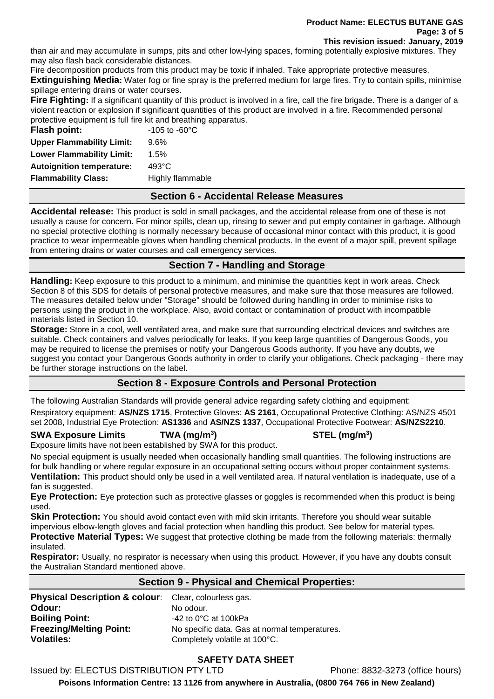#### **Product Name: ELECTUS BUTANE GAS Page: 3 of 5 This revision issued: January, 2019**

than air and may accumulate in sumps, pits and other low-lying spaces, forming potentially explosive mixtures. They may also flash back considerable distances.

Fire decomposition products from this product may be toxic if inhaled. Take appropriate protective measures.

**Extinguishing Media:** Water fog or fine spray is the preferred medium for large fires. Try to contain spills, minimise spillage entering drains or water courses.

**Fire Fighting:** If a significant quantity of this product is involved in a fire, call the fire brigade. There is a danger of a violent reaction or explosion if significant quantities of this product are involved in a fire. Recommended personal protective equipment is full fire kit and breathing apparatus.

| Flash point:                     | $-105$ to $-60^{\circ}$ C |
|----------------------------------|---------------------------|
| <b>Upper Flammability Limit:</b> | 9.6%                      |
| <b>Lower Flammability Limit:</b> | 1.5%                      |
| <b>Autoignition temperature:</b> | $493^{\circ}$ C           |
| <b>Flammability Class:</b>       | Highly flammable          |
|                                  |                           |

## **Section 6 - Accidental Release Measures**

**Accidental release:** This product is sold in small packages, and the accidental release from one of these is not usually a cause for concern. For minor spills, clean up, rinsing to sewer and put empty container in garbage. Although no special protective clothing is normally necessary because of occasional minor contact with this product, it is good practice to wear impermeable gloves when handling chemical products. In the event of a major spill, prevent spillage from entering drains or water courses and call emergency services.

# **Section 7 - Handling and Storage**

**Handling:** Keep exposure to this product to a minimum, and minimise the quantities kept in work areas. Check Section 8 of this SDS for details of personal protective measures, and make sure that those measures are followed. The measures detailed below under "Storage" should be followed during handling in order to minimise risks to persons using the product in the workplace. Also, avoid contact or contamination of product with incompatible materials listed in Section 10.

**Storage:** Store in a cool, well ventilated area, and make sure that surrounding electrical devices and switches are suitable. Check containers and valves periodically for leaks. If you keep large quantities of Dangerous Goods, you may be required to license the premises or notify your Dangerous Goods authority. If you have any doubts, we suggest you contact your Dangerous Goods authority in order to clarify your obligations. Check packaging - there may be further storage instructions on the label.

# **Section 8 - Exposure Controls and Personal Protection**

The following Australian Standards will provide general advice regarding safety clothing and equipment:

Respiratory equipment: **AS/NZS 1715**, Protective Gloves: **AS 2161**, Occupational Protective Clothing: AS/NZS 4501 set 2008, Industrial Eye Protection: **AS1336** and **AS/NZS 1337**, Occupational Protective Footwear: **AS/NZS2210**.

#### **SWA Exposure Limits TWA (mg/m<sup>3</sup>** Exposure limits have not been established by SWA for this product.

No special equipment is usually needed when occasionally handling small quantities. The following instructions are for bulk handling or where regular exposure in an occupational setting occurs without proper containment systems. **Ventilation:** This product should only be used in a well ventilated area. If natural ventilation is inadequate, use of a fan is suggested.

**Eye Protection:** Eye protection such as protective glasses or goggles is recommended when this product is being used.

**Skin Protection:** You should avoid contact even with mild skin irritants. Therefore you should wear suitable impervious elbow-length gloves and facial protection when handling this product. See below for material types. **Protective Material Types:** We suggest that protective clothing be made from the following materials: thermally

## insulated.

**Respirator:** Usually, no respirator is necessary when using this product. However, if you have any doubts consult the Australian Standard mentioned above.

## **Section 9 - Physical and Chemical Properties:**

| <b>Physical Description &amp; colour:</b> Clear, colourless gas. |
|------------------------------------------------------------------|
| No odour.                                                        |
| $-42$ to 0 $^{\circ}$ C at 100kPa                                |
| No specific data. Gas at normal temperatures.                    |
| Completely volatile at 100°C.                                    |
|                                                                  |

# **SAFETY DATA SHEET**

Issued by: ELECTUS DISTRIBUTION PTY LTD Phone: 8832-3273 (office hours)

**Poisons Information Centre: 13 1126 from anywhere in Australia, (0800 764 766 in New Zealand)**

# **) STEL (mg/m<sup>3</sup> )**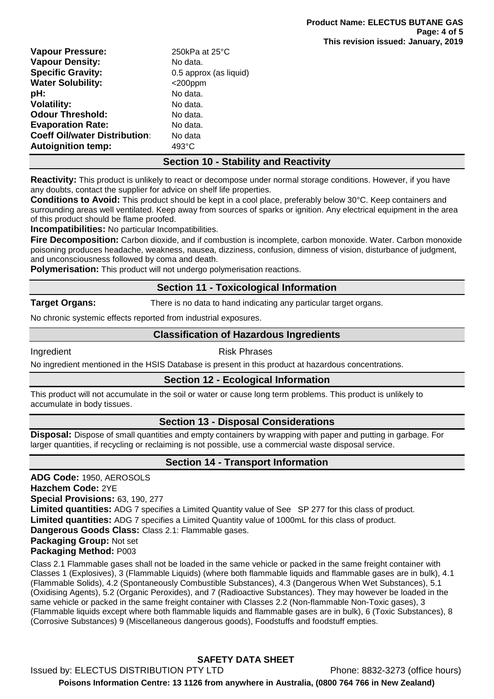| <b>Vapour Pressure:</b>              | 250kPa at 25°C         |
|--------------------------------------|------------------------|
| <b>Vapour Density:</b>               | No data.               |
| <b>Specific Gravity:</b>             | 0.5 approx (as liquid) |
| <b>Water Solubility:</b>             | $<$ 200ppm             |
| pH:                                  | No data.               |
| <b>Volatility:</b>                   | No data.               |
| <b>Odour Threshold:</b>              | No data.               |
| <b>Evaporation Rate:</b>             | No data.               |
| <b>Coeff Oil/water Distribution:</b> | No data                |
| <b>Autoignition temp:</b>            | 493°C                  |

## **Section 10 - Stability and Reactivity**

**Reactivity:** This product is unlikely to react or decompose under normal storage conditions. However, if you have any doubts, contact the supplier for advice on shelf life properties.

**Conditions to Avoid:** This product should be kept in a cool place, preferably below 30°C. Keep containers and surrounding areas well ventilated. Keep away from sources of sparks or ignition. Any electrical equipment in the area of this product should be flame proofed.

**Incompatibilities:** No particular Incompatibilities.

**Fire Decomposition:** Carbon dioxide, and if combustion is incomplete, carbon monoxide. Water. Carbon monoxide poisoning produces headache, weakness, nausea, dizziness, confusion, dimness of vision, disturbance of judgment, and unconsciousness followed by coma and death.

**Polymerisation:** This product will not undergo polymerisation reactions.

#### **Section 11 - Toxicological Information**

**Target Organs:** There is no data to hand indicating any particular target organs.

No chronic systemic effects reported from industrial exposures.

## **Classification of Hazardous Ingredients**

#### Ingredient **Risk Phrases**

No ingredient mentioned in the HSIS Database is present in this product at hazardous concentrations.

## **Section 12 - Ecological Information**

This product will not accumulate in the soil or water or cause long term problems. This product is unlikely to accumulate in body tissues.

## **Section 13 - Disposal Considerations**

**Disposal:** Dispose of small quantities and empty containers by wrapping with paper and putting in garbage. For larger quantities, if recycling or reclaiming is not possible, use a commercial waste disposal service.

## **Section 14 - Transport Information**

**ADG Code:** 1950, AEROSOLS **Hazchem Code:** 2YE **Special Provisions:** 63, 190, 277 **Limited quantities:** ADG 7 specifies a Limited Quantity value of See SP 277 for this class of product. **Limited quantities:** ADG 7 specifies a Limited Quantity value of 1000mL for this class of product. **Dangerous Goods Class:** Class 2.1: Flammable gases. **Packaging Group:** Not set **Packaging Method:** P003

Class 2.1 Flammable gases shall not be loaded in the same vehicle or packed in the same freight container with Classes 1 (Explosives), 3 (Flammable Liquids) (where both flammable liquids and flammable gases are in bulk), 4.1 (Flammable Solids), 4.2 (Spontaneously Combustible Substances), 4.3 (Dangerous When Wet Substances), 5.1 (Oxidising Agents), 5.2 (Organic Peroxides), and 7 (Radioactive Substances). They may however be loaded in the same vehicle or packed in the same freight container with Classes 2.2 (Non-flammable Non-Toxic gases), 3 (Flammable liquids except where both flammable liquids and flammable gases are in bulk), 6 (Toxic Substances), 8 (Corrosive Substances) 9 (Miscellaneous dangerous goods), Foodstuffs and foodstuff empties.

**SAFETY DATA SHEET** Issued by: ELECTUS DISTRIBUTION PTY LTD Phone: 8832-3273 (office hours) **Poisons Information Centre: 13 1126 from anywhere in Australia, (0800 764 766 in New Zealand)**